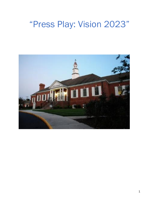# "Press Play: Vision 2023"

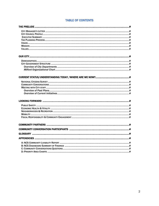#### **TABLE OF CONTENTS**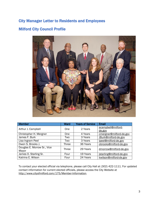### City Manager Letter to Residents and Employees

### Milford City Council Profile



| <b>Member</b>               | Ward       | <b>Years of Service</b> | <b>Email</b>             |  |
|-----------------------------|------------|-------------------------|--------------------------|--|
| Arthur J. Campbell          | One        | 2 Years                 | acampbell@milford-       |  |
|                             |            |                         | de.gov                   |  |
| Christopher H. Mergner      | <b>One</b> | 4 Years                 | cmergner@milford-de.gov  |  |
| James F. Burk               | Two        | 3 Years                 | JBurk@milford-de.gov     |  |
| Lisa Ingram Peel            | Two        | 3 Years                 | Ipeel@milford-de.gov     |  |
| Owen S. Brooks J.           | Three      | 36 Years                | obrooks@milford-de.gov   |  |
| Douglas E. Morrow Sr., Vice | Three      | 29 Years                | dmorrow@milford-de.gov   |  |
| Mayor                       |            |                         |                          |  |
| James O. Starling Sr.       | Four       | 19 Years                | jstarling@milford-de.gov |  |
| Katrina E. Wilson           | Four       | 24 Years                | kwilson@milford-de.gov   |  |

To contact your elected official via telephone, please call City Hall at (302) 422-1111. For updated contact information for current elected officials, please access the City Website at [http://www.cityofmilford.com/175/Member-Information.](http://www.cityofmilford.com/175/Member-Information)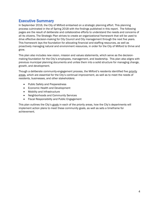### Executive Summary

In September 2016, the City of Milford embarked on a strategic planning effort. This planning process culminated in the of Spring 2018 with the findings published in this report. The following pages are the result of deliberate and collaborative efforts to understand the needs and concerns of all its citizens. The Strategic Plan strives to create an organizational framework that will be used to drive effective decision-making for City Council and City management through the next five years. This framework lays the foundation for allocating financial and staffing resources, as well as proactively managing natural and environment resources, in order for the City of Milford to thrive and grow.

This plan also includes new vision, mission and values statements, which serve as the decisionmaking foundation for the City's employees, management, and leadership. This plan also aligns with previous municipal planning documents and unites them into a solid structure for managing change, growth, and development.

Though a deliberate community-engagement process, the Milford's residents identified five priority areas, which are essential for the City's continual improvement, as well as to meet the needs of residents, businesses, and other stakeholders:

- Public Safety and Preparedness
- **Economic Health and Development**
- Mobility and Infrastructure
- Neighborhoods and Community Services
- **•** Fiscal Responsibility and Public Engagement

This plan outlines the City's goals in each of the priority areas, how the City's departments will implement action plans to meet these community goals, as well as sets a timeframe for achievement.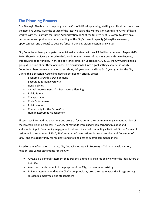### The Planning Process

Our Strategic Plan is a road map to guide the City of Milford's planning, staffing and fiscal decisions over the next five years. Over the course of the last two years, the Milford City Council and City staff have worked with the Institute for Public Administration (IPA) at the University of Delaware to develop a better, more comprehensive understanding of the City's current capacity (strengths, weakness, opportunities, and threats) to develop forward-thinking vision, mission, and values.

City Councilmembers participated in individual interviews with an IPA facilitator between August 8-19, 2016. These interviews garnered each Councilmember's views of the City's strengths, weaknesses, threats, and opportunities. Then, at a day-long retreat on September 17, 2016, the City Council had a group discussion about these opinions. This discussion led into a goal-setting exercise, in which Councilmembers were encouraged to set short, 1-2 year goals and long 5-10 year goals for the City. During this discussion, Councilmembers identified ten priority areas:

- Economic Growth & Development
- Encourage & Mange Growth
- Fiscal Policies
- Capital Improvements & Infrastructure Planning
- Public Safety
- Transportation
- Code Enforcement
- Public Works
- Connectivity for the Entire City
- Human Resources Management

These areas informed the questions and areas of focus during the community engagement portion of the strategic planning process. A variety of methods were used when garnering resident and stakeholder input. Community engagement outreach included conducting a National Citizen Survey of residents in the summer of 2017, 18 Community Conversations during November and December of 2017, and the opportunity for residents and stakeholders to submit comments online.

Based on the information gathered, City Council met again in February of 2018 to develop vision, mission, and values statements for the City.

- A *vision* is a general statement that presents a timeless, inspirational view for the ideal future of our City.
- A *mission* is a statement of the purpose of the City; it's reason for existing.
- *Values* statements outline the City's core principals, used the create a positive image among residents, employees, and stakeholders.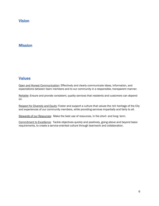### Vision

### **Mission**

### **Values**

Open and Honest Communication: Effectively and clearly communicate ideas, information, and expectations between team members and to our community in a responsible, transparent manner.

Reliable: Ensure and provide consistent, quality services that residents and customers can depend on.

Respect for Diversity and Equity: Foster and support a culture that values the rich heritage of the City and experiences of our community members, while providing services impartially and fairly to all.

Stewards of our Resources: Make the best use of resources, in the short- and long-term.

Commitment to Excellence: Tackle objectives quickly and positively, going above and beyond basic requirements, to create a service-oriented culture through teamwork and collaboration.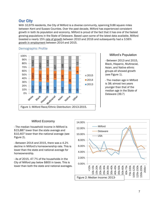### Our City

With 10,979 residents, the City of Milford is a diverse community, spanning 9.86 square miles between Kent and Sussex Counties. Over the past decade, Milford has experienced consistent growth in both its population and economy. Milford is proud of the fact that it has one of the fastest growing populations in the State of Delaware. Based upon some of the latest data available, Milford boasted a nearly 15% rate of growth between 2010 and 2016 and subsequently had a 3.56% growth in employment between 2014 and 2015.



#### Demographic Profile

#### Milford's Population

- Between 2013 and 2015, Black, Hispanic, Multiracial, Asian, and Native ethnic groups all showed growth (see Figure 1).

- The median age in Milford is 38; almost two years younger than that of the median age in the State of Delaware (39.7)

#### Milford Economy

- The median household income in Milford is \$15,887 lower than the state average and \$10,407 lower than the national average (see Figure 2).

- Between 2014 and 2015, there was a 4.2% decline in Milford's homeownership rate. This is lower than the state and national average for homeownership.

- As of 2015, 47.7% of the households in the City of Milford pay below \$800 in taxes. This is

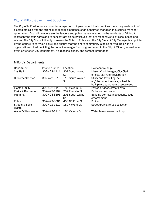### City of Milford Government Structure

The City of Milford follows a council-manager form of government that combines the strong leadership of elected officials with the strong managerial experience of an appointed manager. In a council-manager government, Councilmembers are the leaders and policy makers elected by the residents of Milford to represent the four wards and to concentrate on policy issues that are responsive to citizens' needs and wishes. The City Council directly oversees the Chief of Police and the City Clerk. A City Manager is appointed by the Council to carry out policy and ensure that the entire community is being served. Below is an organizational chart depicting the council-manager form of government in the City of Milford, as well as an overview of each City Department, it's responsibilities, and contact information.

| Department              | Phone Number | Location         | How can we help?                    |
|-------------------------|--------------|------------------|-------------------------------------|
| <b>City Hall</b>        | 302-422-1111 | 201 South Walnut | Mayor, City Manager, City Clerk     |
|                         |              | St.              | offices, city voter registration    |
| <b>Customer Service</b> | 302-422-6616 | 119 South Walnut | Utility and tax billing, set        |
|                         |              | St.              | up/disconnect service, schedule     |
|                         |              |                  | bulk pick up, property assessment   |
| <b>Electric Utility</b> | 302-422-1110 | 180 Vickers Dr.  | Power outages, street lights        |
| Parks & Recreation      | 302-422-1104 | 207 Franklin St. | Parks and recreation                |
| Planning                | 302-424-8396 | 201 South Walnut | Building permits, inspections, code |
|                         |              | St.              | enforcement                         |
| Police                  | 302-422-8081 | 400 NE Front St. | Police                              |
| Streets & Solid         | 302-422-1110 | 180 Vickers Dr.  | Street drains, refuse collection    |
| Waste                   |              |                  |                                     |
| Water & Wastewater      | 302-422-1110 | 180 Vickers Dr.  | Water leaks, sewer back up          |

#### Milford's Departments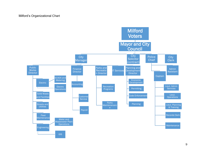#### Milford's Organizational Chart

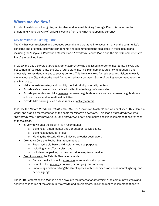### Where are We Now?

In order to establish a thoughtful, achievable, and forward-thinking Strategic Plan, it is important to understand where the City of Milford is coming from and what is happening currently.

### City of Milford's Existing Plans

The City has commissioned and produced several plans that take into account many of the community's concerns and priorities. Relevant components and recommendations suggested in these past plans, including the "Bicycle & Pedestrian Master Plan," "Rivertown Rebirth Plan," and the "2018 Comprehensive Plan," are outlined here:

In 2010, the City's *Bicycle and Pedestrian Master Plan* was published in order to incorporate bicycle and pedestrian infrastructure into the City's future planning. This plan demonstrates how to gradually and effectively link residential areas to activity centers. This linkage allows for residents and visitors to easily move about the City without the need for motorized transportation. Some of the key recommendations in this Plan are to:

- Make pedestrian safety and mobility the first priority in activity centers.
- Provide safe access across roads with attention to design of crosswalks.
- Provide pedestrian and bike linkages between neighborhoods, as well as between neighborhoods, schools, parks, and recreational facilities
- Provide bike parking, such as bike racks, at activity centers.

In 2015, the *Milford Rivertown Rebirth Plan 2025*, or "Downtown Master Plan," was published. This Plan is a visual and graphic representation of the goals for Milford's downtown. This Plan divides downtown into "Downtown West," Downtown Core," and "Downtown East," and makes specific recommendations for each of these areas.

- In Downtown East the Rebirth Plan recommends:
	- o Building an amphitheater and /or outdoor festival space.
	- o Building a pedestrian bridge
	- o Making the Historic Milford Shipyard a tourist destination.
- Downtown Core the Rebirth Plan recommends:
	- o Reusing the old bank building for mixed use purposes.
	- o Including an Art Town splash pad.
	- o Include more parking on the south side away from the river.
- Downtown West the Rebirth Plan recommends:
	- o Re use the fire house for mixed use or recreational purposes.
	- o Revitalize the gateway into town, beautifying this entry way.
	- $\circ$  Enhancing and beautifying the street spaces with curb extensions, ornamental lighting, and better signage.

The 2018 *Comprehensive Plan* is a deep dive into the process for determining the community's goals and aspirations in terms of the community's growth and development. This Plan makes recommendations to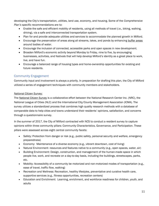developing the City's transportation, utilities, land use, economy, and housing. Some of the *Comprehensive Plan's* specific recommendations are to:

- Enable the safe and efficient mobility of residents, using all methods of travel (i.e., biking, walking, driving), via a safe and interconnected transportation system.
- Plan for and provide adequate utilities and services to accommodate the planned growth in Milford.
- **Encourage the preservation of areas along all streams, lakes, and ponds by enhancing buffer areas** around bodies of water.
- Encourage the inclusion of connected, accessible parks and open spaces in new development.
- Broaden Milford's economic activity beyond Monday to Friday, nine to five, by encouraging businesses, activities, and festivals that will help develop Milford's identity as a great place to work, live, and have fun.
- Encourage a balanced range of housing types and home-ownership opportunities for existing and future residents.

### Community Engagement

Community input and involvement is always a priority. In preparation for drafting this plan, the City of Milford utilized a series of engagement techniques with community members and stakeholders.

#### National Citizen Survey:

The National Citizen Survey is a collaborative effort between the National Research Center Inc. (NRC), the National League of Cities (NLC) and the International City/County Management Association (ICMA). The survey utilizes a standardized process that combines high quality research methods with a database of comparable data to help cities and towns understand their residents' opinions, satisfaction, and concerns through a questionnaire survey.

In the summer of 2017, the City of Milford contracted with NCS to conduct a resident survey to capture opinions within three community pillars: Community Characteristics, Governance, and Participation. These pillars were assessed across eight central community facets:

- Safety: Protection from danger or risk (e.g., public safety, personal security and welfare, emergency preparedness)
- Economy: Maintenance of a diverse economy (e.g., vibrant downtown, cost of living)
- Natural Environment- resources and features native to a community (e.g., open spaces, water, air)
- Building Environment: Design, construction, and management of the human-made space in which people live, work, and recreate on a day-to-day basis, including the buildings, streetscapes, parks, etc.
- Mobility: Accessibility of a community be motorized and non-motorized modes of transportation (e.g., ease of travel, traffic flow, walking)
- Recreation and Wellness: Recreation, healthy lifestyles, preventative and curative health care, supportive services (e.g., fitness opportunities, recreation centers)
- Education and Enrichment: Learning, enrichment, and workforce readiness for children, youth, and adults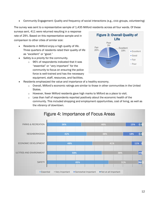Community Engagement: Quality and frequency of social interactions (e.g., civic groups, volunteering)

The survey was sent to a representative sample of 1,435 Milford residents across all four wards. Of these

surveys sent, 411 were returned resulting in a response rate of 29%. Based on this representative sample and in comparison to other cities of similar size:

- Residents in Milford enjoy a high quality of life. Three quarters of residents rated their quality of life as "excellent" or "good."
- Safety is a priority for the community.
	- o 96% of respondents indicated that it was "essential" or "very important" for the community to focus on ensuring the police force is well-trained and has the necessary equipment, staff, resources, and facilities.



- Residents emphasized the value and importance of a healthy economy.
	- $\circ$  Overall, Milford's economic ratings are similar to those in other communities in the United States.
	- $\circ$  However, fewer Milford residents gave high marks to Milford as a place to visit.
	- $\circ$  Less than half of respondents reported positively about the economic health of the community. This included shopping and employment opportunities, cost of living, as well as the vibrancy of downtown.

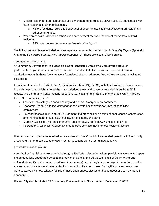- Milford residents rated recreational and enrichment opportunities, as well as K-12 education lower than residents of other jurisdictions.
	- $\circ$  Milford residents rated adult educational opportunities significantly lower than residents in other communities.
- While on par with nationwide rating, code enforcement received the lowest marks from Milford residents.
	- o 39% rated code enforcement as "excellent" or "good"

The full survey results are included in three separate documents, the *Community Livability Report* (Appendix A) and the *Dashboard Summary of Findings* (Appendix B). These are also available online.

#### Community Conversations

A "Community Conversation" is guided discussion conducted with a small, but diverse group of participants, to gather more information on resident and stakeholder views and opinions. A form of qualitative research, these "conversations" consisted of a closed-ended "voting" exercise and a facilitated discussion.

In collaboration with the Institute for Public Administration (IPA), the City of Milford worked to develop more in-depth questions, which targeted the major priorities areas and concerns revealed through the NCS results. The Community Conversations' questions were segmented into five priority areas, which mirrored the NCS "community facets":

- Safety: Public safety, personal security and welfare, emergency preparedness
- Economic Health & Vitality: Maintenance of a diverse economy (downtown, cost of living, employment)
- Neighborhoods & Built/Natural Environment: Maintenance and design of open spaces, construction and management of buildings/housing, streetscapes, and parks
- Mobility: Accessibility of the community, ease of travel, traffic flow, walking, and biking
- Recreation & Wellness: Availability of supportive services that promote healthy lifestyles

Upon arrival, participants were asked to use stickers to "vote" on 28 closed-ended questions in five priority areas. A full list of these closed-ended, "voting" questions can be found in Appendix C.

#### [insert dot question picture]

After "voting," participants were guided through a facilitated discussion where participants were asked openended questions about their perceptions, opinions, beliefs, and attitudes in each of the priority areas outlined above. Questions were asked in an interactive, group setting where participants were free to either answer aloud or were given the opportunity to submit written responses. During this process, responses were captured by a note taker. A full list of these open-ended, discussion-based questions can be found in Appendix C.

IPA and City staff facilitated 19 Community Conversations in November and December of 2017: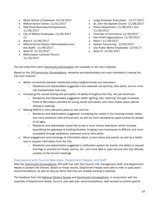- Music School of Delaware: 10/19/2017
- Milford Senior Center: 11/01/2017
- DMI Small Business/Entrepreneurs: 11/06/2017
- City of Milford Employees: 11/06/2017 (2)
- Ward II: 11/06/2017
- Milford School District (Administrators and Key Staff): 11/09/2017
- Ward III: 11/15/2017
- Reformation Lutheran Church: 11/16/2017
- Large Employer Executives: 11/27/2017
- St. John the Apostle Church: 11/28/2017
- Police Department: 11/28/2017 and 11/30/2017
- Chamber of Commerce: 11/29/2017
- Non-Profit Organizations: 11/30/2017
- Ward I: 11/30/2017
- Haitian Community: 12/03/2017
- City Public Works Employees: 12/04/17
- Ward IV: 12/05/2017

The full notes from each Community Conversation are available on the City's website.

Based on the 18 Community Conversations, residents and stakeholders are most interested in seeing the City work towards:

- Better connectivity between residential areas/neighborhoods and downtown.
	- $\circ$  Residents and stakeholders suggested more sidewalk connectivity, bike paths, and an inner city transportation bus loop.
- Increasing the overall feeling and perception of safety *throughout* the City, not just downtown.
	- o Residents and stakeholders suggested: better lighting, less "loitering" through increased Parks & Recreation activities for young adults and adults, and more visible police patrols (biking or walking).
- Making Milford a more attractive place to visit and live.
	- $\circ$  Residents and stakeholders suggested: increasing the variety in the housing market, better and more proactive code enforcement, as well as more recreational opportunities for people of all ages.
	- $\circ$  Residents and stakeholder would like to see a more vibrant downtown, which includes beautifying the gateways & building facades, bringing more businesses to Milford, and more accessible through pedestrian walkways and/or bike paths.
- More engagement and exchange of information about current plans and events, as well as a better way to request information from the City.
	- $\circ$  Residents and stakeholders suggested a notification system for events, the ability to request trainings or practice for floods, storms, etc., and more Q&A or open forums with City officials, outside of City Council meetings.

#### Discussions with Council Members, Department Heads, and Staff

After the Community Conversations, IPA staff met with City Council, City management staff, and Department Heads to present the themes. Based on these results, Department Heads were able to refer to past plans' recommendations, as well as discuss items that they are already working to address.

The feedback from the National Citizens Survey and Community Conversations, in conjunction with the expertise of Department Heads, Council, and past plan recommendations, staff worked to outline specific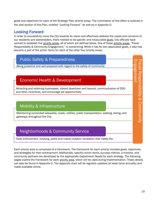goals and objectives for each of the Strategic Plan priority areas. The culmination of this effort is outlined in the next section of this Plan, entitled "Looking Forward," as well as in Appendix D.

### Looking Forward

In order to successfully move the City towards its vision and effectively address the needs and concerns of our residents and stakeholders, there needed to be specific and measurable goals. City officials have worked to establish five priority areas, all of which are defined below. One of these priority areas, "Fiscal Responsibility & Community Engagement," is overarching. While it has its own associated goals, it also has become a part of the action items for each of the other four priority areas.



Each priority area is comprised of a framework. The framework for each priority includes goals, objectives, and strategies for their achievement. Additionally, specific action items, success metrics, a timeline, and community partners are developed by the appropriate Department Heads for each strategy. The following pages outline the framework for each priority area, which will be used during implementation. These details can also be found in Appendix D. The Appendix chart will be regularly updated (at least twice annually) and made available online.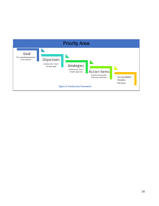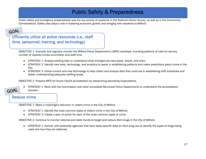# Public Safety & Preparedness

Public safety and emergency preparedness was the top priority of residents in the National Citizen Survey, as well as in the Community Conversations. Safety also plays a role in fostering economic growth and bringing new residents to Milford.

### GOAL

Efficiently utilize all police resources (i.e., staff time, personnel, training, and technology)

OBJECTIVE 1- Evaluate and regularly monitor the Milford Police Department's (MPD) workload, including patterns of calls for service, number of reports/crimes committed, and staff time. training, technology, etc.).

- STRATEGY 1- Analyze existing data to understand what emergencies take place, where, and when.
- STRATEGY 2- Identify new tools, technology, and analytics to assist in establishing patterns and make predictions about crime in the City.
- STRATEGY 3- Utilize current and new technology to help collect and analyze data that could aid in establishing shift schedules and better understanding adequate staffing levels.

OBJECTIVE 2- Prepare MPD for future CALEA accreditation by researching standards/expectations.



 STRATEGY 1- Work with the Commission and other accredited Municipal Police Departments to understand the accreditation process.

### Reduce crime

OBJECTIVE 1- Make a meaningful reduction in violent crime in the City of Milford.

- STRATEGY 1- Identify the most common types of violent crime in the City of Milford.
- resources in the time, • STRATEGY 2- Create a plan of action for each of the most common types of crime.

OBJECTIVE 2- Continue to monitor national and state trends to target and reduce illicit drugs in the City of Milford.

 STRATEGY 1- Partner with statewide agencies that have state-specific data on illicit drug use to identify the types of drugs being used and how they are obtained.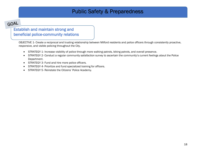# Public Safety & Preparedness

# GOAL

### Establish and maintain strong and beneficial police-community relations

OBJECTIVE 1- Create a reciprocal and trusting relationship between Milford residents and police officers through consistently proactive, responsive, and visible policing throughout the City.

- STRATEGY 1- Increase visibility of police through more walking patrols, biking patrols, and overall presence.
- STRATEGY 2- Conduct a regular community satisfaction survey to ascertain the community's current feelings about the Police Department.
- STRATEGY 3- Fund and hire more police officers.
- STRATEGY 4- Prioritize and fund specialized training for officers.
- STRATEGY 5- Reinstate the Citizens' Police Academy.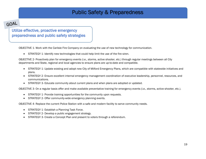# Public Safety & Preparedness

# GOAL

### Utilize effective, proactive emergency preparedness and public safety strategies

OBJECTIVE 1- Work with the Carlisle Fire Company on evaluating the use of new technology for communication.

STRATEGY 1- Identify new technologies that could help limit the use of the fire siren.

OBJECTIVE 2- Proactively plan for emergency events (i.e., storms, active shooter, etc.) through regular meetings between all City departments and State, regional and local agencies to ensure plans are up-to-date and compatible.

- STRATEGY 1- Update existing and adopt new City of Milford Emergency Plans, which are compatible with statewide initiatives and plans.
- STRATEGY 2- Ensure excellent internal emergency management coordination of executive leadership, personnel, resources, and communications.
- STRATEGY 3- Educate community about current plans and when plans are adopted or updated.

OBJECTIVE 3- On a regular basis offer and make available preventative training for emergency events (i.e., storms, active shooter, etc.).

- STRATEGY 1- Provide training opportunities for the community upon requests.
- STRATEGY 2- Offer community-wide emergency planning events.

OBJECTIVE 4- Replace the current Police Station with a safe and modern facility to serve community needs.

- STRATEGY 1- Establish a Planning Task Force.
- STRATEGY 2- Develop a public engagement strategy.
- STRATEGY 3- Create a Concept Plan and present to voters through a referendum.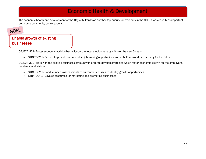# Economic Health & Development

The economic health and development of the City of Milford was another top priority for residents in the NCS. It was equally as important during the community conversations.

# GOAL

### Enable growth of existing businesses

OBJECTIVE 1- Foster economic activity that will grow the local employment by 4% over the next 5 years.

• STRATEGY 1- Partner to provide and advertise job training opportunities so the Milford workforce is ready for the future.  $\bullet$  SINATEGT  $\pm$  rainer to provide

OBJECTIVE 2- Work with the existing business community in order to develop strategies which foster economic growth for the employers, residents, and visitors.

- STRATEGY 1- Conduct needs assessments of current businesses to identify growth opportunities.
- STRATEGY 2- Develop resources for marketing and promoting businesses.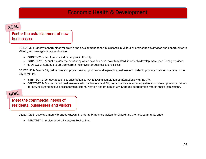# Economic Health & Development

### GOAL

### Foster the establishment of new businesses

OBJECTIVE 1- Identify opportunities for growth and development of new businesses in Milford by promoting advantages and opportunities in Milford, and leveraging state assistance.

- STRATEGY 1- Create a new industrial park in the City.
- STRATEGY 2- Annually review the process by which new business move to Milford, in order to develop more user-friendly services.
- SRATEGY 3- Continue to provide current incentives for businesses of all sizes.

OBJECTIVE 2- Ensure City ordinances and procedures support new and expanding businesses in order to promote business success in the City of Milford.

- STRATEGY 1- Conduct a business satisfaction survey following completion of interactions with the City.
- STRATEGY 2- Ensure that all business-related organizations and City departments are knowledgeable about development processes for new or expanding businesses through communication and training of City Staff and coordination with partner organizations.

# GOAL

Meet the commercial needs of residents, businesses and visitors

> OBJECTIVE 1- Develop a more vibrant downtown, in order to bring more visitors to Milford and promote community pride. Efficiently utilize all police resources (i.e.,

• STRATEGY 1- Implement the Rivertown Rebirth Plan.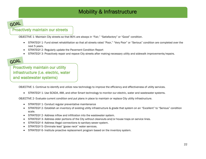# Mobility & Infrastructure

# GOAL

### Proactively maintain our streets

OBJECTIVE 1- Maintain City streets so that 80% are always in "Fair," "Satisfactory" or "Good" condition.

- STRATEGY 1- Fund street rehabilitation so that all streets rated "Poor," "Very Poor" or "Serious" condition are completed over the next 5 years.
- STRATEGY 2- Regularly update the Pavement Condition Report
- STRATEGY 3- Proactively repair and repave City streets after making necessary utility and sidewalk improvements/repairs.

### GOAL

Proactively maintain our utility infrastructure (i.e. electric, water and wastewater systems)

OBJECTIVE 1- Continue to identify and utilize new technology to improve the efficiency and effectiveness of utility services.  $\mathcal{L}(\mathcal{L})$ 

• STRATEGY 1- Use SCADA, AMI, and other Smart technology to monitor our electric, water and wastewater systems.

OBJECTIVE 2- Evaluate current condition and put plans in place to maintain or replace City utility infrastructure.

- STRATEGY 1- Conduct regular preventative maintenance
- STRATEGY 2- Establish an inventory of existing utility infrastructure & grade that system on an "Excellent" to "Serious" condition scale.
- STRATEGY 2- Address inflow and infiltration into the wastewater system.
- STRATEGY 3- Address older portions of the City without cleanouts and/or house traps on service lines.
- STRATEGY 4- Address illegal connections to sanitary sewer system.
- STRATEGY 5- Eliminate lead "goose neck" water services.
- STRATEGY 6- Institute proactive replacement program based on the inventory system.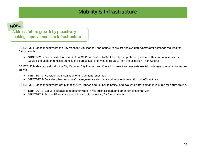# Mobility & Infrastructure

# GOAL

### Address future growth by proactively making improvements to infrastructure

OBJECTIVE 1- Meet annually with the City Manager, City Planner, and Council to project and evaluate wastewater demands required for future growth.

 STRATEGY 1- Sewer: Install force main from SE Pump Station to Kent County Pump Station (evaluate other potential areas that would be in addition to this system such as areas East and West of Route 1 from the Mispillion River, South.)

OBJECTIVE 2- Meet annually with the City Manager, City Planner, and Council to project and evaluate electricity demands required for future growth.

- STRATEGY 1- Consider the installation of an additional substation.
- STRATEGY 2- Consider other ways the City can generate electricity and reduce demand through efficient use.

OBJECTIVE 3- Meet annually with City Manager, City Planner, and Council to project and evaluate water demands required for future growth.

- STRATEGY 1- Evaluate storage demands for water in NW business park and other portions of the City.
- STRATEGY 2- Ensure SE wells are producing what is necessary for future growth.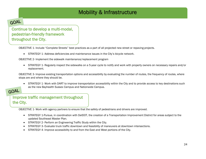# Mobility & Infrastructure

# GOAL

Continue to develop a multi-modal, pedestrian-friendly framework throughout the City.

OBJECTIVE 1- Include "Complete Streets" best practices as a part of all projected new street or repaving projects.

 STRATEGY 1- Address deficiencies and maintenance issues in the City's bicycle network.  $\bullet$  SIRATEGY 1-Address deficiencies and

OBJECTIVE 2- Implement the sidewalk maintenance/replacement program

 STRATEGY 1- Regularly inspect the sidewalks on a 5-year cycle to notify and work with property owners on necessary repairs and/or replacement.

OBJECTIVE 3- Improve existing transportation options and accessibility by evaluating the number of routes, the frequency of routes, where stops are and where they should be.

 STRATEGY 1- Work with DART to improve transportation accessibility within the City and to provide access to key destinations such as the new Bayhealth Sussex Campus and Nationwide Campus.

# GOAL

### Improve traffic management throughout the City.

OBJECTIVE 1- Work with agency partners to ensure that the safety of pedestrians and drivers are improved.

- STRATEGY 1-Pursue, in coordination with DelDOT, the creation of a Transportation Improvement District for areas subject to the updated Southeast Master Plan.
- STRATEGY 2- Perform an Engineering Traffic Study within the City.
- STRATEGY 3- Evaluate truck traffic downtown and feasibility of maneuvers at downtown intersections.
- STRATEGY 4- Improve accessibility to and from the East and West portions of the City.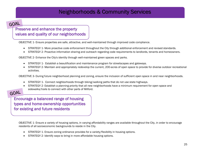# Neighborhoods & Community Services

### GOAL

### Preserve and enhance the property values and quality of our neighborhoods

OBJECTIVE 1- Ensure properties are safe, attractive, and well-maintained through improved code compliance. Efficiently utilize all police resources (i.e., staff  $t_{\text{true}}$   $\text{true}$  properties are safe, attraction

- STRATEGY 1- More proactive code enforcement throughout the City through additional enforcement and revised standards.
- STRATEGY 2- Proactive information sharing and outreach regarding code requirements to landlords, tenants and homeowners.

OBJECTIVE 2- Enhance the City's identity through well-maintained green spaces and parks.

- STRATEGY 1- Establish a beautification and maintenance program for streetscapes and gateways.
- STRATEGY 2- Maintain and appropriately redevelop the current, 200-acres of open space to provide for diverse outdoor recreational activities.

OBJECTIVE 3- During future neighborhood planning and zoning, ensure the inclusion of sufficient open space in and near neighborhoods.

- STRATEGY 1- Connect neighborhoods through biking/walking paths that do not use state highways.
- STRATEGY 2- Establish a planning priority that all new neighborhoods have a minimum requirement for open space and sidewalks/trails to connect with other parts of Milford.

### GOAL

Encourage a balanced range of housing types and home-ownership opportunities for existing and future residents

 $\mathbb{E}_{\mathcal{A}}$  all police all police resources (i.e., staff time, staff time, staff time, staff time, staff time,

OBJECTIVE 1- Ensure a variety of housing options, in varying affordability ranges are available throughout the City, in order to encourage residents of all socioeconomic backgrounds to reside in the City.

- STRATEGY 1- Ensure zoning ordinance provides for a variety/flexibility in housing options.
- STRATEGY 2- Identify ways to bring in more affordable housing options.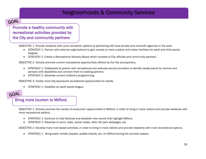# Neighborhoods & Community Services

# GOAL

Promote a healthy community with recreational activities provided by the City and community partners

OBJECTIVE 1- Provide residents with more recreation options by partnering with local private and nonprofit agencies in the area. Efficiently utilize all police resources (i.e.,

- SECTIVE I-TTOMAC TESTACTICS WITH THOIC TECTED AND TO PARTIS MUTTOUS WITHOUS PRACE AND HOT PROTICES IT THE ATEA.<br>• STRATEGY 1- Partner with external organizations to gain access to more outdoor and indoor facilities for adu leagues. etc.).
- STRATEGY 2- Create a Recreational Advisory Board which consists of City officials and community partners.

OBJECTIVE 2- Actively promote current recreational opportunities offered by the City and partners.

- STRATEGY 1- Collaborate & partner with recreational and wellness service providers to identify needs/wants for seniors and persons with disabilities and connect them to existing partners.
- STRATEGY 2- Advertise current children's programming.

OBJECTIVE 3- Create more City-sponsored recreational opportunities for adults.

• STRATEGY 1- Establish an adult sports league.

# GOAL

### Bring more tourism to Milford.

OBJECTIVE 1- Actively promote the variety of ecotourism opportunities in Milford, in order to bring in more visitors and provide residents with more recreational options. Efficiently utilize all police resources (i.e.,

- STRATEGY 1- Continue to hold festivals and establish new events that highlight Milford.
- STRATEGY 2- Advertise on print, radio, social media, other DE park webpages, etc.

OBJECTIVE 2- Develop more river-based activities, in order to bring in more visitors and provide residents with more recreational options.

STRATEGY 1- Bring water rentals (kayaks, paddle boards, etc.) to Milford during the summer season.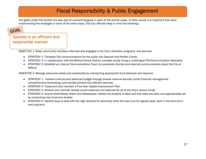# Fiscal Responsibility & Public Engagement

The goals under this section are also part of overarching goals in each of the priority areas. In other words, it is important that when implementing the strategies in each of the other areas, that City officials keep in mind the following:

### GOAL

### Operate in an efficient and responsible manner

OBJECTIVE 1- Keep community members informed and engaged in the City's activities, programs, and services.  $\mathbb{E}_{\mathcal{A}}$  is a linear police all police all police all police all police all police all police all police all police all police all police all police all police all police all police all police all police all police

- STRATEGY 1- Translate City communications for the public into Spanish and Haitian Creole.
- STRATEGY 2- In collaboration with the Milford School District, consider jointly hiring a multilingual PIO/Communication Specialist. etc.).
- STRATEGY 3- Establish an internal Communications Team to coordinate internal and external communications about the City of Milford.

OBJECTIVE 2- Manage resources wisely and sustainably by maintaining appropriate fund balances and reserves.

- STRATEGY 1- Achieve a structurally balanced budget through diverse revenue sources, smart financial management, comprehensive forecasting, and results-oriented and efficient services.
- STRATEGY 2- Implement and maintain a Five-Year Capital Improvement Plan.
- STRATEGY 3- Achieve and maintain fiscally-sound balances and reserves for all of the City's various funds.
- STRATEGY 4- Ensure Solid Waste, Water and Wastewater utilities are properly funded and that rates are fairly and appropriately set by conducting cost of service studies.
- STRATEGY 5- Identify ways to deal with the high demand for electricity when the cost is at its highest peak, both in the short-term and long-term.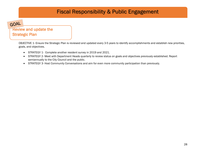# Fiscal Responsibility & Public Engagement

GOAL

### Review and update the **Strategic Plan** time, personnel, training, technology, etc.).

OBJECTIVE 1- Ensure the Strategic Plan is reviewed and updated every 3-5 years to identify accomplishments and establish new priorities, goals, and objectives.

- STRATEGY 1- Complete another resident survey in 2019 and 2021.
- STRATEGY 2- Meet with Department Heads quarterly to review status on goals and objectives previously established. Report semiannually to the City Council and the public.
- STRATEGY 3- Host Community Conversations and aim for even more community participation than previously.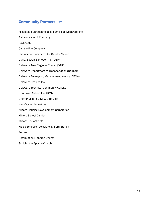### Community Partners list

Assemblée Chrétienne de la Famille de Delaware, Inc Baltimore Aircoil Company Bayhealth Carlisle Fire Company Chamber of Commerce for Greater Milford Davis, Bowen & Friedel, Inc. (DBF) Delaware Area Regional Transit (DART) Delaware Department of Transportation (DelDOT) Delaware Emergency Management Agency (DEMA) Delaware Hospice Inc. Delaware Technical Community College Downtown Milford Inc. (DMI) Greater Milford Boys & Girls Club Kent-Sussex Industries Milford Housing Development Corporation Milford School District Milford Senior Center Music School of Delaware: Milford Branch Perdue Reformation Lutheran Church St. John the Apostle Church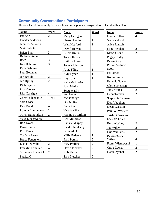### Community Conversations Participants

This is a list of Community Conversations participants who agreed to be listed in this Plan.

| <b>Name</b>               | Ward           | <b>Name</b>             | Ward           | <b>Name</b>           | Ward           |
|---------------------------|----------------|-------------------------|----------------|-----------------------|----------------|
| Pat Abel                  | $\overline{2}$ | Mary Galligan           |                | Leona Raffio          | $\overline{4}$ |
| Jennifer Anderson         |                | Sharon Hepford          | $\mathbf{1}$   | Val Randolph          | $\mathbf{1}$   |
| Jennifer Antonik          |                | Walt Hepford            | $\mathbf{1}$   | <b>Alice Rausch</b>   |                |
| Matt Babbitt              |                | David Herron            | $\overline{4}$ | Lang Redden           | $\overline{2}$ |
| <b>Brian Baer</b>         | 3              | Alicia Hollis           |                | Marcia Reed           | $\overline{2}$ |
| <b>Barbara Studer</b>     |                | <b>Trevor Horsey</b>    |                | Peggy Reilly          | $\mathbf{1}$   |
| Baer                      | 3              | Keith Johnson           |                | <b>Bryan Rice</b>     |                |
| Ken Behrans               | 3              | Teresa Johnson          | $\overline{4}$ | <b>Pastor Andrew</b>  |                |
| <b>Ruth Behrans</b>       |                | Anne Kling              | $\mathbf{1}$   | Scott                 |                |
| Paul Bowman               |                | Judy Lynch              | $\mathbf{1}$   | Ed Simon              | $\mathbf{1}$   |
| Jan Broulik               | $\overline{2}$ | Ray Lynch               | $\mathbf{1}$   | <b>Robin Smith</b>    |                |
| Jen Byerly                | $\overline{2}$ | Keith Markowitz         |                | Eugenia Sparks        |                |
| Rich Byerly               |                | <b>Joan Marks</b>       |                | <b>Glen Stevenson</b> |                |
| <b>Rick Carmean</b>       |                | <b>Scott Marks</b>      |                | <b>Judy Struck</b>    | $\overline{2}$ |
| Rita Cartright            | $\overline{4}$ | Stephanie               |                | Dean Tatman           | $\overline{2}$ |
| Cheryl Clendaniel         | 1 & 4          | McDonough               | $\overline{2}$ | Stephanie Tatman      |                |
| Sara Croce                |                | Dot McKain              |                | Don Vaughon           |                |
| Dan Dond                  | $\overline{4}$ | Lucy Mehl               |                | Dean Walston          |                |
| Loretta Edmondson         | $\overline{2}$ | Valerie Miller          |                | Paul W. Western       |                |
| Mitch Edmondson           | $\overline{2}$ | Joanne M. Milton        |                | Trish D. Western      |                |
| <b>Steve Ellingsworth</b> |                | <b>Ben Muldrow</b>      | $\overline{2}$ | Mark Whitfield        |                |
| Ron Evans                 |                | <b>Christie Murphy</b>  |                | <b>Renate Wiley</b>   | $\overline{2}$ |
| Paige Evers               |                | <b>Charles Nordberg</b> |                | Joe Wiley             | $\overline{2}$ |
| <b>Eric Evers</b>         |                | <b>Leonard Ott</b>      |                | Eric Williams         | $\overline{2}$ |
| Tod Van Eyken             |                | Milly Pedersen          | $\mathbf{1}$   | R. Darrell P.         |                |
| <b>Bruce Fenerstein</b>   |                | Patti Persia            | $\overline{2}$ | Wilson                | $\overline{4}$ |
| Lisa Fitzgerald           | $\overline{2}$ | <b>Joey Phillips</b>    | $\overline{2}$ | Frank Wisniewski      | $\mathbf{1}$   |
| Franklin Fountain         | $\overline{4}$ | David Pickneil          | $\overline{2}$ | Craig Zychal          | $\overline{2}$ |
| Suzannah Frederick        | $\overline{2}$ | Rob Pierce              |                | Nadia Zychal          | $\overline{2}$ |
| Patrica G                 |                | Sara Pletcher           | $\overline{2}$ |                       |                |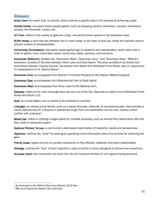### **Glossary**

Action Item- an event, task, or activity, which outlines a specific step in the process of achieving a goal.

Activity Center- any place where people gather, such as shopping centers, downtown, schools, recreations centers, the Riverwalk, Library, etc.

Art Town- refers to the variety of galleries, ships, and performance spaces in the downtown area.

Buffer Areas- a zone that lies between two or more areas. In the case of land use, these are typically used to prevent erosion or overpopulation.

Community Conversation- discussion-based gatherings of residents and stakeholders, which were held in order to gather more information about community needs, opinions, and concerns.

Downtown (Milford's)- divided into "Downtown West," Downtown Core," and "Downtown East," Milford's downtown consists of the area between Silver Lake and Goat Island. This area consists of all streets and businesses between Causey Avenue/ Southeast Front Street and Northeast Front Street, with an opportunity for development on N. Walnut Street<sup>1</sup>.

Downtown Core- encompasses from Warren's Furniture Property to the Historic Milford Shipyard.

Downtown East- encompasses from Bicentennial Park to Goat Island

Downtown West- encompasses from Silver Lake to the Gateway Arch.

Gateway- refers to the main thorough-fairs into and out of the City. Specially on either end of Northeast Front Street and Route 113.

Goal- an overall object, aim or desire to be achieved or reached.

Link(age)- an infrastructure facility, such as a paved shoulder, sidewalk, or recreational path, that provides a clearly defined way for a bicyclist or pedestrian to get from one destination not the next, without undue conflict with motorists2.

Mixed Use- refers to utilizing a single space for multiple purposes, such as second floor apartments with first floor retail or restaurant space.

National Citizens' Survey- a community's data-based examination of residents' needs and perspectives.

Objective- outlines the "what" for each goal; specifying more information about the process for achieving the goal.

Priority Areas- topics that are of upmost importance to City officials, residents, and other stakeholders.

Strategy- outlines the "how" of each objective; a plan of action or policy designed to achieve the overall aim.

Success metric- the mechanism by which the City will measure whether or not a goal is being achieved.

<sup>1</sup> As illustrated in the *Milford Rivertown Rebirth 2025 Plan*

<sup>2</sup> *Bike and Pedestrian Master Plan* definition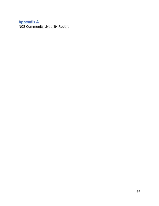# Appendix A

NCS Community Livability Report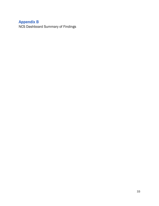# Appendix B

NCS Dashboard Summary of Findings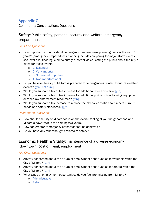### Appendix C

Community Conversations Questions

### **Safety:** Public safety, personal security and welfare, emergency preparedness

### *Flip Chart Questions:*

- How important a priority should emergency preparedness planning be over the next 5 years? (emergency preparedness planning includes preparing for major storm events, sea-level rise, flooding, electric outages, as well as educating the public about the City's plans for these events)
	- o 1- Essential
	- o 2- Very Important
	- o 3- Somewhat Important
	- o 4- Not Important at all
- Do you believe the City of Milford is prepared for emergencies related to future weather events? [y/n/ not sure]
- Would you support a tax or fee increase for additional police officers?  $[y/n]$
- Would you support a tax or fee increase for additional police officer training, equipment or other law enforcement resources?  $[y/n]$
- Would you support a tax increase to replace the old police station so it meets current needs and safety standards? [y/n]

#### *Open ended Questions:*

- How should the City of Milford focus on the overall feeling of your neighborhood and Milford's downtown in the coming two years?
- How can greater "emergency preparedness" be achieved?
- Do you have any other thoughts related to safety?

### Economic Health & Vitality: maintenance of a diverse economy (downtown, cost of living, employment)

#### *Flip Chart Questions:*

- Are you concerned about the future of employment opportunities for yourself within the City of Milford? [y/n]
- Are you concerned about the future of employment opportunities for others within the City of Milford? [y/n]
- What types of employment opportunities do you feel are missing from Milford?
	- o Administrative
	- o Retail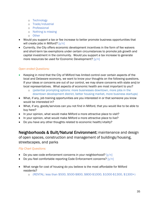- o Technology
- o Trade/industrial
- o Professional
- o Nothing is missing
- o Other
- Would you support a tax or fee increase to better promote business opportunities that will create jobs in Milford? [y/n]
- Currently, the City offers economic development incentives in the form of fee waivers and short-term tax exemptions under certain circumstances to promote job growth and capital investment in the community. Would you support a tax increase to generate more resources be used for Economic Development?  $[y/n]$

#### *Open ended Questions:*

- Keeping in mind that the City of Milford has limited control over certain aspects of the local and Delaware economy, we want to know your thoughts on the following questions. If your ideas or concerns are out of our control, we may share concerns with state and/or local representatives. What aspects of economic health are most important to you?
	- o (potential prompting options: more businesses downtown, more jobs in the downtown development district, better housing market, more business startups)
- What, if any, job training opportunities are you interested in or that someone you know would be interested in?
- What, if any, goods/services can you not find in Milford, that you would like to be able to buy here?
- In your opinion, what would make Milford a more attractive place to visit?
- In your opinion, what would make Milford a more attractive place to live?
- Do you have any other thoughts related to economic health/vitality?

Neighborhoods & Built/Natural Environment: maintenance and design of open spaces, construction and management of buildings/housing, streetscapes, and parks

#### *Flip Chart Questions:*

- $\bullet$  Do you see code enforcement concerns in your neighborhood?  $[y/n]$
- Do you feel comfortable reporting Code Enforcement concerns?  $[y/n]$
- What range for cost of housing do you believe is the most affordable for Milford residents?
	- o (RENTAL: less than \$500, \$500-\$800, \$800-\$1000, \$1000-\$1300, \$1300+)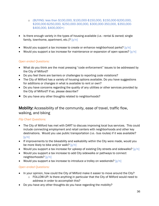- o (BUYING: less than \$100,000, \$100,000-\$150,000, \$150,000-\$200,000, \$200,000-\$250,000, \$250,000-300,000, \$300,000-350,000, \$350,000- \$400,000, \$400,000+)
- Is there enough variety in the types of housing available (i.e.- rental & owned; single family, townhome, apartment, etc.)?  $[y/n]$
- Would you support a tax increase to create or enhance neighborhood parks?  $[y/n]$
- Would you support a tax increase for maintenance or expansion of open spaces?  $[y/n]$

#### *Open ended Questions:*

- What do you think are the most pressing "code enforcement" issues to be addressed by the City of Milford?
- Do you feel there are barriers or challenges to reporting code violations?
- The City of Milford has a variety of housing options available. Do you have suggestions for additions or changes in what is available to rent or own?
- Do you have concerns regarding the quality of any utilities or other services provided by the City of Milford? If so, please describe?
- Do you have any other thoughts related to neighborhoods?

### Mobility: Accessibility of the community, ease of travel, traffic flow, walking, and biking

### *Flip Chart Questions:*

- The City of Milford has met with DART to discuss improving local bus services. This could include connecting employment and retail centers with neighborhoods and other key destinations. Would you use public transportation (i.e.- bus routes) if it was available?  $[y/n]$
- If improvements to the bikeability and walkability within the City were made, would you be more likely to bike and/or walk?  $[y/n]$
- Would you support a tax increase for upkeep of existing City streets and sidewalks?  $[y/n]$
- Would you support a tax increase to add City sidewalks or pathways to connect neighborhoods? [y/n]
- Would you support a tax increase to introduce a trolley on weekends?  $[y/n]$

### *Open ended Questions:*

- In your opinion, how could the City of Milford make it easier to move around the City?
	- o FOLLOW-UP: Is there anything in particular that the City of Milford would need to address in order to accomplish this?
- Do you have any other thoughts do you have regarding the mobility?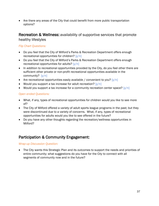Are there any areas of the City that could benefit from more public transportation options?

### Recreation & Wellness: availability of supportive services that promote healthy lifestyles

#### *Flip Chart Questions:*

- Do you feel that the City of Milford's Parks & Recreation Department offers enough recreational opportunities for children?  $[y/n]$
- Do you feel that the City of Milford's Parks & Recreation Department offers enough recreational opportunities for adults? [y/n]
- In addition to recreational opportunities provided by the City, do you feel other there are sufficient other private or non-profit recreational opportunities available in the community? [y/n]
- Are recreational opportunities easily available / convenient to you?  $[y/n]$
- Would you support a tax increase for adult recreation?  $[y/n]$
- Would you support a tax increase for a community recreation center space?  $[y/n]$

#### *Open ended Questions:*

- What, if any, types of recreational opportunities for children would you like to see more of?
- The City of Milford offered a variety of adult sports league programs in the past; but they were discontinued due to a variety of concerns. What, if any, types of recreational opportunities for adults would you like to see offered in the future?
- Do you have any other thoughts regarding the recreation/wellness opportunities in Milford?

### Participation & Community Engagement:

#### *Wrap-up Discussion Question:*

 The City wants this Strategic Plan and its outcomes to support the needs and priorities of entire community; what suggestions do you have for the City to connect with all segments of community now and in the future?